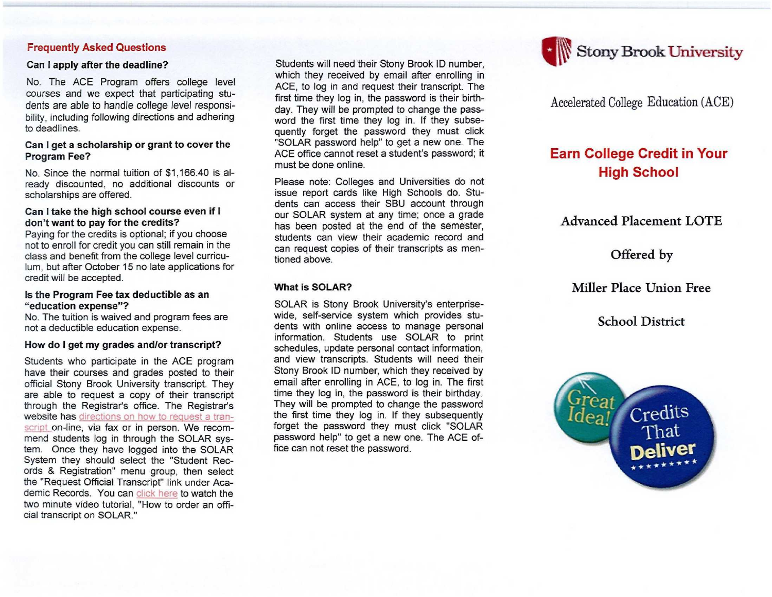#### **Frequently Asked Questions**

#### **Can I apply after the deadline?**

No. The ACE Program offers college level courses and we expect that participating students are able to handle college level responsibility, including following directions and adhering to deadlines.

#### **Can I get a scholarship or grant to cover the Program Fee?**

No. Since the normal tuition of \$1,166.40 is already discounted, no additional discounts or scholarships are offered.

### **Can I take the high school course even if I don't want to pay for the credits?**

Paying for the credits is optional; if you choose not to enroll for credit you can still remain in the class and benefit from the college level curriculum, but after October 15 no late applications for credit will be accepted.

#### **Is the Program Fee tax deductible as an "education expense"?**

No. The tuition is waived and program fees are not a deductible education expense.

#### **How do I get my grades and/or transcript?**

Students who participate in the ACE program have their courses and grades posted to their official Stony Brook University transcript. They are able to request a copy of their transcript through the Registrar's office. The Registrar's website has directions on how to request a transcript on-line, via fax or in person. We recommend students log in through the SOLAR system. Once they have logged into the SOLAR System they should select the "Student Records & Registration" menu group, then select the "Request Official Transcript" link under Academic Records. You can click here to watch the two minute video tutorial, "How to order an official transcript on SOLAR."

Students will need their Stony Brook ID number, which they received by email after enrolling in ACE, to log in and request their transcript. The first time they log in, the password is their birthday. They will be prompted to change the password the first time they log in. If they subsequently forget the password they must click "SOLAR password help" to get a new one. The ACE office cannot reset a student's password; it must be done online.

Please note: Colleges and Universities do not issue report cards like High Schools do. Students can access their SBU account through our SOLAR system at any time; once a grade has been posted at the end of the semester, students can view their academic record and can request copies of their transcripts as mentioned above.

# **What is SOLAR?**

SOLAR is Stony Brook University's enterprisewide, self-service system which provides students with online access to manage personal information. Students use SOLAR to print schedules, update personal contact information, and view transcripts. Students will need their Stony Brook ID number, which they received by email after enrolling in ACE, to log in. The first time they log in, the password is their birthday. They will be prompted to change the password the first time they log in. If they subsequently forget the password they must click "SOLAR password help" to get a new one. The ACE office can not reset the password.



Accelerated College Education (ACE)

# **Earn** College Credit in Your High School

Advanced Placement LOTE

Offered by

Miller Place Union Free

# School District